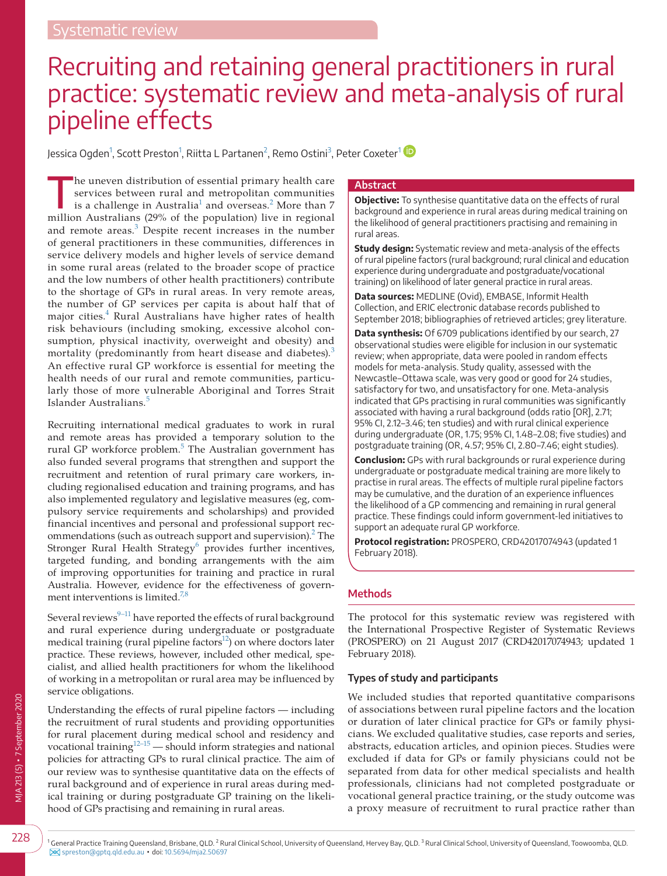# Recruiting and retaining general practitioners in rural practice: systematic review and meta-analysis of rural pipeline effects

Jessica Ogden<sup>[1](#page-0-0)</sup>, Scott Preston<sup>1</sup>, Riitta L Partanen<sup>[2](#page-0-1)</sup>, Remo Ostini<sup>[3](#page-0-2)</sup>, Peter Coxeter<sup>1</sup>

The uneven distribution of essential primary health care services between rural and metropolitan communities is a challenge in Australia $^1$  $^1$  and overseas. $^2$  $^2$  More than 7 million Australians (29% of the population) live in regional and remote areas. $3$  Despite recent increases in the number of general practitioners in these communities, differences in service delivery models and higher levels of service demand in some rural areas (related to the broader scope of practice and the low numbers of other health practitioners) contribute to the shortage of GPs in rural areas. In very remote areas, the number of GP services per capita is about half that of major cities.<sup>4</sup> Rural Australians have higher rates of health risk behaviours (including smoking, excessive alcohol consumption, physical inactivity, overweight and obesity) and mortality (predominantly from heart disease and diabetes).<sup>[3](#page-7-2)</sup> An effective rural GP workforce is essential for meeting the health needs of our rural and remote communities, particularly those of more vulnerable Aboriginal and Torres Strait Islander Australians.<sup>[5](#page-7-4)</sup>

Recruiting international medical graduates to work in rural and remote areas has provided a temporary solution to the rural GP workforce problem.<sup>[5](#page-7-4)</sup> The Australian government has also funded several programs that strengthen and support the recruitment and retention of rural primary care workers, including regionalised education and training programs, and has also implemented regulatory and legislative measures (eg, compulsory service requirements and scholarships) and provided financial incentives and personal and professional support rec-ommendations (such as outreach support and supervision).<sup>[2](#page-7-1)</sup> The Stronger Rural Health Strategy<sup>[6](#page-7-5)</sup> provides further incentives, targeted funding, and bonding arrangements with the aim of improving opportunities for training and practice in rural Australia. However, evidence for the effectiveness of govern-ment interventions is limited.<sup>[7,8](#page-7-6)</sup>

Several reviews $9-11$  have reported the effects of rural background and rural experience during undergraduate or postgraduate medical training (rural pipeline factors<sup>12</sup>) on where doctors later practice. These reviews, however, included other medical, specialist, and allied health practitioners for whom the likelihood of working in a metropolitan or rural area may be influenced by service obligations.

Understanding the effects of rural pipeline factors — including the recruitment of rural students and providing opportunities for rural placement during medical school and residency and vocational training $12-15$  — should inform strategies and national policies for attracting GPs to rural clinical practice. The aim of our review was to synthesise quantitative data on the effects of rural background and of experience in rural areas during medical training or during postgraduate GP training on the likelihood of GPs practising and remaining in rural areas.

#### **Abstract**

**Objective:** To synthesise quantitative data on the effects of rural background and experience in rural areas during medical training on the likelihood of general practitioners practising and remaining in rural areas.

**Study design:** Systematic review and meta-analysis of the effects of rural pipeline factors (rural background; rural clinical and education experience during undergraduate and postgraduate/vocational training) on likelihood of later general practice in rural areas.

**Data sources:** MEDLINE (Ovid), EMBASE, Informit Health Collection, and ERIC electronic database records published to September 2018; bibliographies of retrieved articles; grey literature.

**Data synthesis:** Of 6709 publications identified by our search, 27 observational studies were eligible for inclusion in our systematic review; when appropriate, data were pooled in random effects models for meta-analysis. Study quality, assessed with the Newcastle–Ottawa scale, was very good or good for 24 studies, satisfactory for two, and unsatisfactory for one. Meta-analysis indicated that GPs practising in rural communities was significantly associated with having a rural background (odds ratio [OR], 2.71; 95% CI, 2.12–3.46; ten studies) and with rural clinical experience during undergraduate (OR, 1.75; 95% CI, 1.48–2.08; five studies) and postgraduate training (OR, 4.57; 95% CI, 2.80–7.46; eight studies).

**Conclusion:** GPs with rural backgrounds or rural experience during undergraduate or postgraduate medical training are more likely to practise in rural areas. The effects of multiple rural pipeline factors may be cumulative, and the duration of an experience influences the likelihood of a GP commencing and remaining in rural general practice. These findings could inform government-led initiatives to support an adequate rural GP workforce.

**Protocol registration:** PROSPERO, CRD42017074943 (updated 1 February 2018).

# **Methods**

The protocol for this systematic review was registered with the International Prospective Register of Systematic Reviews (PROSPERO) on 21 August 2017 (CRD42017074943; updated 1 February 2018).

# **Types of study and participants**

<span id="page-0-2"></span>We included studies that reported quantitative comparisons of associations between rural pipeline factors and the location or duration of later clinical practice for GPs or family physicians. We excluded qualitative studies, case reports and series, abstracts, education articles, and opinion pieces. Studies were excluded if data for GPs or family physicians could not be separated from data for other medical specialists and health professionals, clinicians had not completed postgraduate or vocational general practice training, or the study outcome was a proxy measure of recruitment to rural practice rather than

<span id="page-0-1"></span><span id="page-0-0"></span>1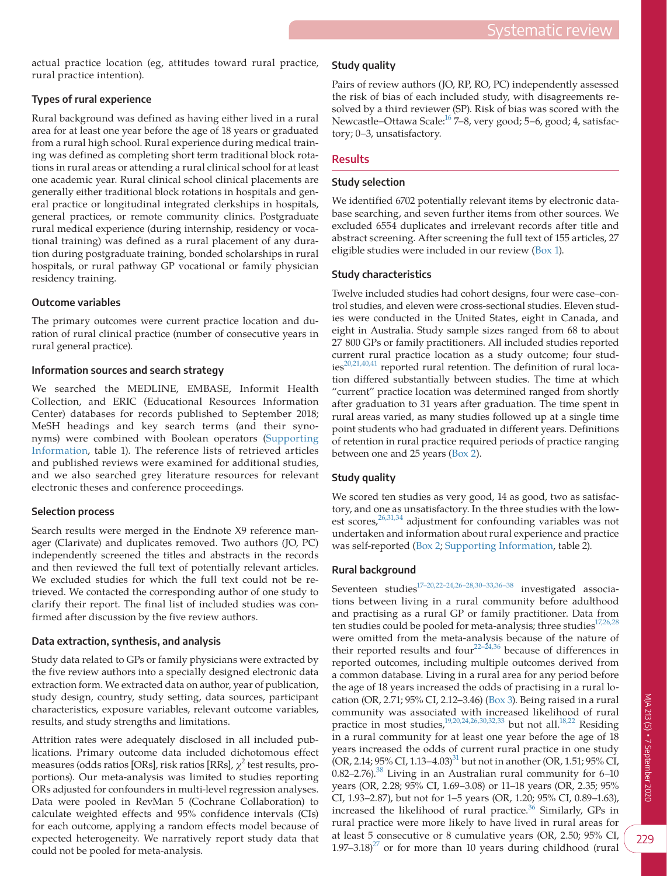actual practice location (eg, attitudes toward rural practice, rural practice intention).

# **Types of rural experience**

Rural background was defined as having either lived in a rural area for at least one year before the age of 18 years or graduated from a rural high school. Rural experience during medical training was defined as completing short term traditional block rotations in rural areas or attending a rural clinical school for at least one academic year. Rural clinical school clinical placements are generally either traditional block rotations in hospitals and general practice or longitudinal integrated clerkships in hospitals, general practices, or remote community clinics. Postgraduate rural medical experience (during internship, residency or vocational training) was defined as a rural placement of any duration during postgraduate training, bonded scholarships in rural hospitals, or rural pathway GP vocational or family physician residency training.

#### **Outcome variables**

The primary outcomes were current practice location and duration of rural clinical practice (number of consecutive years in rural general practice).

#### **Information sources and search strategy**

We searched the MEDLINE, EMBASE, Informit Health Collection, and ERIC (Educational Resources Information Center) databases for records published to September 2018; MeSH headings and key search terms (and their synonyms) were combined with Boolean operators ([Supporting](#page-8-0)  [Information](#page-8-0), table 1). The reference lists of retrieved articles and published reviews were examined for additional studies, and we also searched grey literature resources for relevant electronic theses and conference proceedings.

# **Selection process**

Search results were merged in the Endnote X9 reference manager (Clarivate) and duplicates removed. Two authors (JO, PC) independently screened the titles and abstracts in the records and then reviewed the full text of potentially relevant articles. We excluded studies for which the full text could not be retrieved. We contacted the corresponding author of one study to clarify their report. The final list of included studies was confirmed after discussion by the five review authors.

# **Data extraction, synthesis, and analysis**

Study data related to GPs or family physicians were extracted by the five review authors into a specially designed electronic data extraction form. We extracted data on author, year of publication, study design, country, study setting, data sources, participant characteristics, exposure variables, relevant outcome variables, results, and study strengths and limitations.

Attrition rates were adequately disclosed in all included publications. Primary outcome data included dichotomous effect measures (odds ratios [ORs], risk ratios [RRs],  $\chi^2$  test results, proportions). Our meta-analysis was limited to studies reporting ORs adjusted for confounders in multi-level regression analyses. Data were pooled in RevMan 5 (Cochrane Collaboration) to calculate weighted effects and 95% confidence intervals (CIs) for each outcome, applying a random effects model because of expected heterogeneity. We narratively report study data that could not be pooled for meta-analysis.

#### **Study quality**

Pairs of review authors (JO, RP, RO, PC) independently assessed the risk of bias of each included study, with disagreements resolved by a third reviewer (SP). Risk of bias was scored with the Newcastle–Ottawa Scale[:16](#page-8-1) 7–8, very good; 5–6, good; 4, satisfactory; 0–3, unsatisfactory.

# **Results**

#### **Study selection**

We identified 6702 potentially relevant items by electronic database searching, and seven further items from other sources. We excluded 6554 duplicates and irrelevant records after title and abstract screening. After screening the full text of 155 articles, 27 eligible studies were included in our review ([Box 1\)](#page-2-0).

#### **Study characteristics**

Twelve included studies had cohort designs, four were case–control studies, and eleven were cross-sectional studies. Eleven studies were conducted in the United States, eight in Canada, and eight in Australia. Study sample sizes ranged from 68 to about 27 800 GPs or family practitioners. All included studies reported current rural practice location as a study outcome; four stud- $\arccos 20,21,40,41$  reported rural retention. The definition of rural location differed substantially between studies. The time at which "current" practice location was determined ranged from shortly after graduation to 31 years after graduation. The time spent in rural areas varied, as many studies followed up at a single time point students who had graduated in different years. Definitions of retention in rural practice required periods of practice ranging between one and 25 years ([Box 2](#page-3-0)).

# **Study quality**

We scored ten studies as very good, 14 as good, two as satisfactory, and one as unsatisfactory. In the three studies with the lowest scores,<sup>26,31,34</sup> adjustment for confounding variables was not undertaken and information about rural experience and practice was self-reported [\(Box 2;](#page-3-0) [Supporting Information,](#page-8-0) table 2).

# **Rural background**

Seventeen studies<sup>17-20,22-24,26-28,30-33,36-38</sup> investigated associations between living in a rural community before adulthood and practising as a rural GP or family practitioner. Data from ten studies could be pooled for meta-analysis; three studies<sup>17,26,28</sup> were omitted from the meta-analysis because of the nature of their reported results and four<sup>22–24,36</sup> because of differences in reported outcomes, including multiple outcomes derived from a common database. Living in a rural area for any period before the age of 18 years increased the odds of practising in a rural location (OR, 2.71; 95% CI, 2.12–3.46) [\(Box 3](#page-6-0)). Being raised in a rural community was associated with increased likelihood of rural practice in most studies, $\frac{19,20,24,26,30,32,33}{20}$  but not all.<sup>18,22</sup> Residing in a rural community for at least one year before the age of 18 years increased the odds of current rural practice in one study  $(OR, 2.14; 95\% CI, 1.13–4.03)^{31}$  but not in another  $(OR, 1.51; 95\% CI, 1.13–1.1)$  $0.82-2.76$ .<sup>[38](#page-8-9)</sup> Living in an Australian rural community for  $6-10$ years (OR, 2.28; 95% CI, 1.69–3.08) or 11–18 years (OR, 2.35; 95% CI, 1.93–2.87), but not for 1–5 years (OR, 1.20; 95% CI, 0.89–1.63), increased the likelihood of rural practice.<sup>[36](#page-8-10)</sup> Similarly, GPs in rural practice were more likely to have lived in rural areas for at least 5 consecutive or 8 cumulative years (OR, 2.50; 95% CI,  $1.97-3.18$ <sup>27</sup> or for more than 10 years during childhood (rural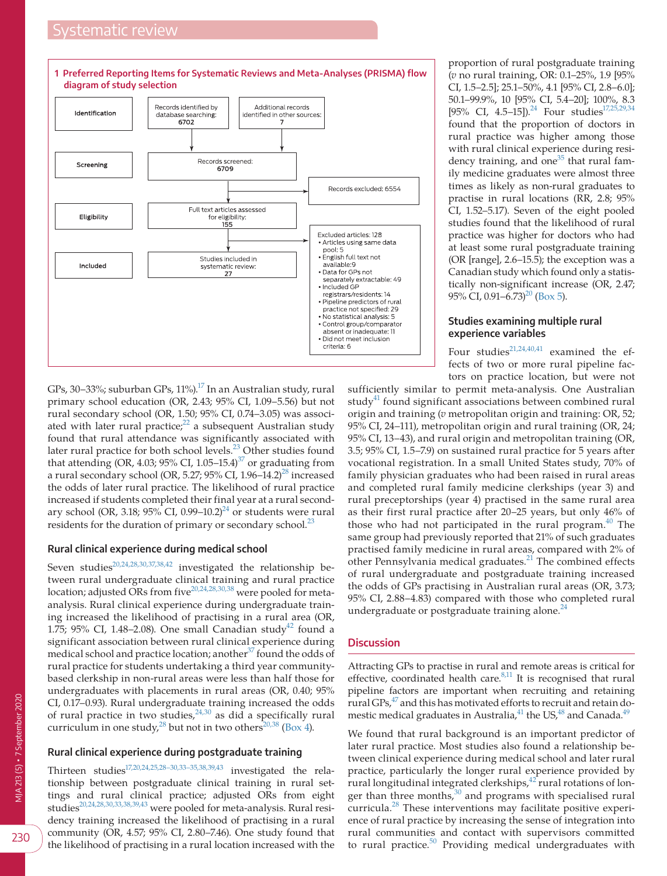# *stematic review*

<span id="page-2-0"></span>

GPs, 30–33%; suburban GPs,  $11\%$ .<sup>17</sup> In an Australian study, rural primary school education (OR, 2.43; 95% CI, 1.09–5.56) but not rural secondary school (OR, 1.50; 95% CI, 0.74–3.05) was associated with later rural practice; $2^2$  a subsequent Australian study found that rural attendance was significantly associated with later rural practice for both school levels.<sup>[23](#page-8-12)</sup> Other studies found that attending (OR, 4.03; 95% CI, 1.05–15.4) $37$  or graduating from a rural secondary school (OR, 5.27; 95% CI, 1.96-14.2)<sup>28</sup> increased the odds of later rural practice. The likelihood of rural practice increased if students completed their final year at a rural secondary school (OR, 3.18;  $95\%$  CI, 0.99–10.2)<sup>24</sup> or students were rural residents for the duration of primary or secondary school. $^{23}$  $^{23}$  $^{23}$ 

#### **Rural clinical experience during medical school**

Seven studies<sup>[20,24,28,30,37,38,42](#page-8-2)</sup> investigated the relationship between rural undergraduate clinical training and rural practice location; adjusted ORs from five<sup>[20,24,28,30,38](#page-8-2)</sup> were pooled for metaanalysis. Rural clinical experience during undergraduate training increased the likelihood of practising in a rural area (OR, 1.75; 95% CI, 1.48-2.08). One small Canadian study<sup>42</sup> found a significant association between rural clinical experience during medical school and practice location; another<sup>37</sup> found the odds of rural practice for students undertaking a third year communitybased clerkship in non-rural areas were less than half those for undergraduates with placements in rural areas (OR, 0.40; 95% CI, 0.17–0.93). Rural undergraduate training increased the odds of rural practice in two studies,  $24,30$  as did a specifically rural curriculum in one study,  $^{28}$  $^{28}$  $^{28}$  but not in two others<sup>[20,38](#page-8-2)</sup> ([Box 4\)](#page-6-1).

#### **Rural clinical experience during postgraduate training**

Thirteen studies<sup>17,20,24,25,28–30,33–35,38,39,43</sup> investigated the relationship between postgraduate clinical training in rural settings and rural clinical practice; adjusted ORs from eight studies<sup>20,24,28,30,33,38,39,43</sup> were pooled for meta-analysis. Rural residency training increased the likelihood of practising in a rural community (OR, 4.57; 95% CI, 2.80–7.46). One study found that the likelihood of practising in a rural location increased with the

proportion of rural postgraduate training (*v* no rural training, OR: 0.1–25%, 1.9 [95% CI, 1.5–2.5]; 25.1–50%, 4.1 [95% CI, 2.8–6.0]; 50.1–99.9%, 10 [95% CI, 5.4–20]; 100%, 8.3 [95% CI, 4.5–15]).<sup>24</sup> Four studies<sup>17,25,29,34</sup> found that the proportion of doctors in rural practice was higher among those with rural clinical experience during residency training, and  $\overline{one}^{35}$  that rural family medicine graduates were almost three times as likely as non-rural graduates to practise in rural locations (RR, 2.8; 95% CI, 1.52–5.17). Seven of the eight pooled studies found that the likelihood of rural practice was higher for doctors who had at least some rural postgraduate training (OR [range], 2.6–15.5); the exception was a Canadian study which found only a statistically non-significant increase (OR, 2.47; 95% CI,  $0.91 - 6.73$ <sup>20</sup> ([Box 5\)](#page-6-2).

### **Studies examining multiple rural experience variables**

Four studies<sup>[21,24,40,41](#page-8-18)</sup> examined the effects of two or more rural pipeline factors on practice location, but were not

sufficiently similar to permit meta-analysis. One Australian study $41$  found significant associations between combined rural origin and training (*v* metropolitan origin and training: OR, 52; 95% CI, 24–111), metropolitan origin and rural training (OR, 24; 95% CI, 13–43), and rural origin and metropolitan training (OR, 3.5; 95% CI, 1.5–7.9) on sustained rural practice for 5 years after vocational registration. In a small United States study, 70% of family physician graduates who had been raised in rural areas and completed rural family medicine clerkships (year 3) and rural preceptorships (year 4) practised in the same rural area as their first rural practice after 20–25 years, but only 46% of those who had not participated in the rural program. $40$  The same group had previously reported that 21% of such graduates practised family medicine in rural areas, compared with 2% of other Pennsylvania medical graduates. $^{21}$  $^{21}$  $^{21}$  The combined effects of rural undergraduate and postgraduate training increased the odds of GPs practising in Australian rural areas (OR, 3.73; 95% CI, 2.88–4.83) compared with those who completed rural undergraduate or postgraduate training alone. $^{24}$  $^{24}$  $^{24}$ 

#### **Discussion**

Attracting GPs to practise in rural and remote areas is critical for effective, coordinated health care. $8,11$  It is recognised that rural pipeline factors are important when recruiting and retaining rural GPs,[47](#page-8-21) and this has motivated efforts to recruit and retain domestic medical graduates in Australia, $^{41}$  the US, $^{48}$  and Canada. $^{49}$ 

We found that rural background is an important predictor of later rural practice. Most studies also found a relationship between clinical experience during medical school and later rural practice, particularly the longer rural experience provided by rural longitudinal integrated clerkships,<sup>42</sup> rural rotations of longer than three months, $30$  and programs with specialised rural curricula.[28](#page-8-14) These interventions may facilitate positive experience of rural practice by increasing the sense of integration into rural communities and contact with supervisors committed to rural practice. $50$  Providing medical undergraduates with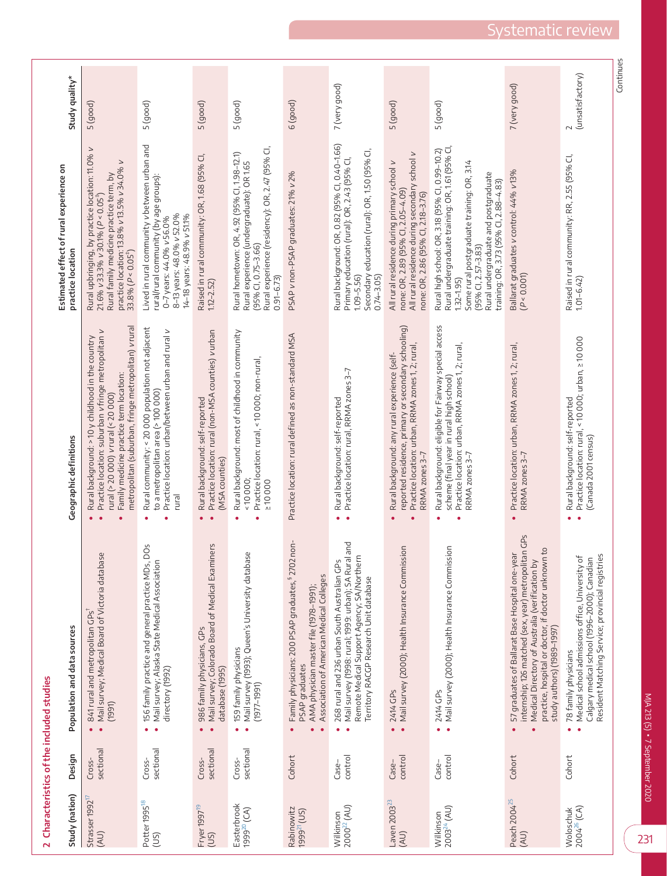|                                        |                     | 2 Characteristics of the included studies                                                                                                                                                                                                                                  |                                                                                                                                                                                                                                                         | Estimated effect of rural experience on                                                                                                                                                                                                                                    |                            |
|----------------------------------------|---------------------|----------------------------------------------------------------------------------------------------------------------------------------------------------------------------------------------------------------------------------------------------------------------------|---------------------------------------------------------------------------------------------------------------------------------------------------------------------------------------------------------------------------------------------------------|----------------------------------------------------------------------------------------------------------------------------------------------------------------------------------------------------------------------------------------------------------------------------|----------------------------|
| Study (nation)                         | Design              | Population and data sources                                                                                                                                                                                                                                                | Geographic definitions                                                                                                                                                                                                                                  | practice location                                                                                                                                                                                                                                                          | Study quality*             |
| Strasser 1992<br>(AU)                  | sectional<br>Cross- | Mail survey; Medical Board of Victoria database<br>841 rural and metropolitan GPs<br>(1991)<br>$\bullet$<br>$\bullet$                                                                                                                                                      | metropolitan (suburban, fringe metropolitan) vrural<br>Practice location: suburban vfringe metropolitan v<br>Rural background: > 10 y childhood in the country<br>Family medicine practice term location:<br>rural (> 20 000) <i>v</i> rural (< 20 000) | $\scriptstyle\mathtt{>}$<br>Rural upbringing, by practice location: 11.0%<br>$\geq$<br>practice location: 13.8% v13.5% v34.0%<br>Rural family medicine practice term, by<br>$21.6\%$ v 33.3% v 30.1% (P < 0.05 <sup>+</sup> )<br>$33.8\% (P < 0.05^+)$                     | 5(good)                    |
| Potter 1995 <sup>18</sup><br>(US)      | sectional<br>Cross- | ğ<br>156 family practice and general practice MDs, D<br>Mail survey; Alaska State Medical Association<br>directory (1992)<br>$\bullet$                                                                                                                                     | Rural community: < 20 000 population not adjacent<br>Practice location: urban/between urban and rural v<br>to a metropolitan area (> 100 000)<br>rural                                                                                                  | Lived in rural community v between urban and<br>rural/rural community (by age groups):<br>8-13 years: 48.0% v52.0%<br>14-18 years: 48.9% v51.1%<br>0-7 years: 44.0% v 56.0%                                                                                                | 5 (good)                   |
| Fryer 1997 <sup>19</sup><br>(US)       | sectional<br>Cross- | ers<br>Mail survey; Colorado Board of Medical Examin<br>986 family physicians, GPs<br>database (1995)<br>$\bullet$<br>$\bullet$                                                                                                                                            | Practice location: rural (non-MSA counties) v urban<br>Rural background: self-reported<br>(MSA counties)<br>$\bullet$<br>$\bullet$                                                                                                                      | Raised in rural community: OR, 1.68 (95% CI,<br>$1.12 - 2.52$                                                                                                                                                                                                              | 5 (good)                   |
| Easterbrook<br>1999 <sup>20</sup> (CA) | sectional<br>Cross- | Mail survey (1993); Queen's University database<br>159 family physicians<br>$(1977 - 1991)$<br>$\bullet$<br>٠                                                                                                                                                              | Rural background: most of childhood in community<br>Practice location: rural, < 10 000; non-rural,<br>10000;<br>210000                                                                                                                                  | Rural experience (residency): OR, 2.47 (95% CI<br>Rural hometown: OR, 4.92 (95% Cl, 1.98-12.1)<br>Rural experience (undergraduate): OR 1.65<br>(95% CI, 0.75-3.66)<br>$0.91 - 6.73$                                                                                        | 5 (good)                   |
| Rabinowitz<br>1999 <sup>21</sup> (US)  | Cohort              | non-<br>Family physicians: 200 PSAP graduates, \$2702<br>Association of American Medical Colleges<br>AMA physician master file (1978-1991);<br>PSAP graduates                                                                                                              | Practice location: rural defined as non-standard MSA                                                                                                                                                                                                    | PSAP v non-PSAP graduates: 21% v2%                                                                                                                                                                                                                                         | $6$ (good)                 |
| 2000 <sup>22</sup> (AU)<br>Wilkinson   | control<br>Case-    | pue<br>Remote Medical Support Agency; SA/Northern<br>Mail survey (1998: rural; 1999: urban); SA Rural<br>268 rural and 236 urban South Australian GPs<br>Territory RACGP Research Unit database<br>$\bullet$<br>$\bullet$                                                  | Practice location: rural, RRMA zones 3-7<br>Rural background: self-reported<br>$\bullet$                                                                                                                                                                | Rural background: OR, 0.82 (95% Cl, 0.40-1.66)<br>Secondary education (rural): OR, 1.50 (95% CI,<br>Primary education (rural): OR, 2.43 (95% CI,<br>$1.09 - 5.56$<br>$0.74 - 3.05$                                                                                         | 7 (very good)              |
| Laven 2003 <sup>23</sup><br>(AU)       | control<br>Case-    | Mail survey (2000); Health Insurance Commission<br>2414 GPs<br>$\bullet$<br>$\bullet$                                                                                                                                                                                      | reported residence, primary or secondary schooling)<br>Practice location: urban, RRMA zones 1, 2; rural,<br>Rural background: any rural experience (self-<br>RRMA zones 3-7                                                                             | All rural residence during secondary school v<br>All rural residence during primary school v<br>none: OR, 2.89 (95% Cl, 2.05–4.09)<br>none: OR, 2.86 (95% CI, 2.18-3.76)                                                                                                   | 5 (good)                   |
| Wilkinson<br>2003 <sup>24</sup> (AU)   | control<br>$Case-$  | Mail survey (2000); Health Insurance Commission<br>2414 GPs<br>$\bullet$<br>٠                                                                                                                                                                                              | Rural background: eligible for Fairway special access<br>Practice location: urban, RRMA zones 1, 2; rural,<br>scheme (final year in rural high school)<br>RRMA zones 3-7                                                                                | Rural high school: OR, 3.18 (95% Cl, 0.99–10.2)<br>Rural undergraduate training: OR, 1.61 (95% Cl,<br>Some rural postgraduate training: OR, 3.14<br>Rural undergraduate and postgraduate<br>training: OR, 3.73 (95% Cl, 2.88-4.83)<br>(95% CI, 2.57-3.83)<br>$1.32 - 1.95$ | 5 (good)                   |
| Peach 2004 <sup>25</sup><br>(AU)       | Cohort              | internship; 126 matched (sex, year) metropolitan GPs<br>$\overline{c}$<br>57 graduates of Ballarat Base Hospital one-year<br>practice, hospital or doctor, if doctor unknown<br>Medical Directory of Australia (verification by<br>study authors) (1989-1997)<br>$\bullet$ | Practice location: urban, RRMA zones 1, 2; rural,<br>RRMA zones 3–7<br>$\bullet$                                                                                                                                                                        | Ballarat graduates v control: 44% v13%<br>(P < 0.001)                                                                                                                                                                                                                      | 7 (very good)              |
| Woloschuk<br>2004 <sup>26</sup> (CA)   | Cohort              | Medical school admissions office, University of<br>Calgary medical school (1996-2000); Canadian<br>Resident Matching Service; provincial registries<br>78 family physicians<br>$\bullet$<br>$\bullet$                                                                      | Practice location: rural, < 10 000; urban, ≥ 10 000<br>Rural background: self-reported<br>(Canada 2001 census)<br>ä                                                                                                                                     | Raised in rural community: RR, 2.55 (95% Cl,<br>$1.01 - 6.42$                                                                                                                                                                                                              | (unsatisfactory)<br>$\sim$ |
|                                        |                     |                                                                                                                                                                                                                                                                            |                                                                                                                                                                                                                                                         |                                                                                                                                                                                                                                                                            | Continues                  |

<span id="page-3-0"></span>231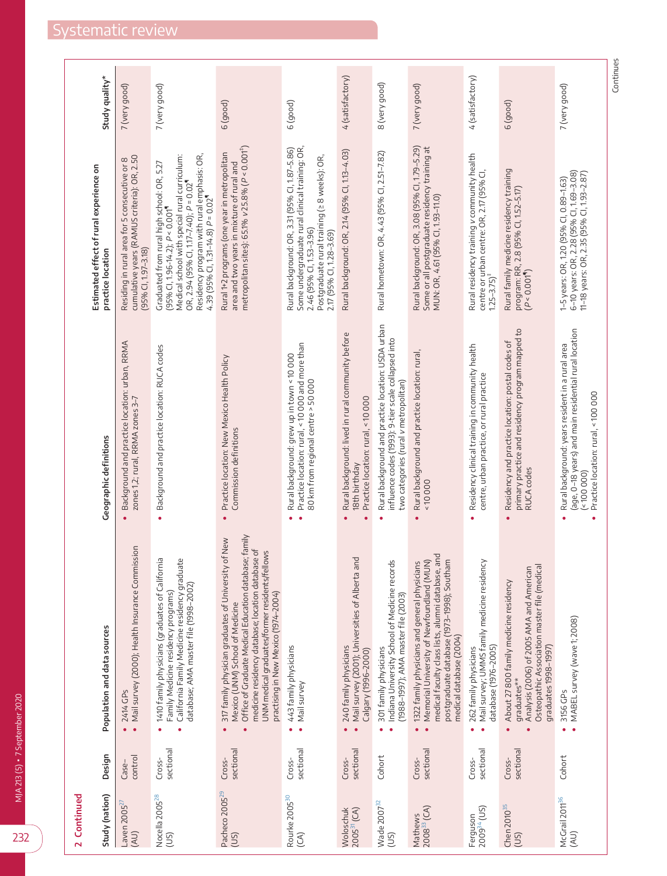232

| 2 Continued                          |                     |                                                                                                                                                                                                                                                                                                        |                                                                                                                                                             | Estimated effect of rural experience on                                                                                                                                                                                                                             |                  |
|--------------------------------------|---------------------|--------------------------------------------------------------------------------------------------------------------------------------------------------------------------------------------------------------------------------------------------------------------------------------------------------|-------------------------------------------------------------------------------------------------------------------------------------------------------------|---------------------------------------------------------------------------------------------------------------------------------------------------------------------------------------------------------------------------------------------------------------------|------------------|
| Study (nation)                       | Design              | Population and data sources                                                                                                                                                                                                                                                                            | Geographic definitions                                                                                                                                      | practice location                                                                                                                                                                                                                                                   | Study quality*   |
| Laven 2005 $^{25}$<br>(AU)           | control<br>Case-    | Mail survey (2000); Health Insurance Commission<br>2414 GPs<br>$\bullet$                                                                                                                                                                                                                               | Background and practice location: urban, RRMA<br>zones 1,2; rural, RRMA zones 3-7<br>$\bullet$                                                              | cumulative years (RAMUS criteria): OR, 2.50<br>$\infty$<br>Residing in rural area for 5 consecutive or<br>(95% CI, 1.97-3.18)                                                                                                                                       | 7 (very good)    |
| Nocella 2005 <sup>28</sup><br>(US)   | sectional<br>Cross- | nia<br>California Family Medicine residency graduate<br>1410 family physicians (graduates of Califor<br>database; AMA master file (1998-2002)<br>Family Medicine residency programs)<br>۰                                                                                                              | Background and practice location: RUCA codes<br>$\bullet$                                                                                                   | Residency program with rural emphasis: OR,<br>Medical school with special rural curriculum:<br>Graduated from rural high school: OR, 5.27<br>OR, 2.94 (95% CI, 1.17-7.40); $P = 0.02$<br>4.39 (95% Cl, 1.31-14.8) $P = 0.02$<br>$(95\%$ CI, 1.96-14.2); $P < 0.001$ | 7 (very good)    |
| Pacheco 2005 <sup>29</sup><br>(US)   | sectional<br>Cross- | Office of Graduate Medical Education database; family<br>of New<br>medicine residency database; location database of<br>llows<br>317 family physician graduates of University<br>UNM medical graduates/former residents/fel<br>practising in New Mexico (1974-2004)<br>Mexico (UNM) School of Medicine | Practice location: New Mexico Health Policy<br>Commission definitions<br>$\bullet$                                                                          | metropolitan sites): 65.1% v25.8% ( $P < 0.001$ <sup>+)</sup><br>Rural 1+2 programs (one year in metropolitan<br>area and two years in mixture of rural and                                                                                                         | $6$ (good)       |
| Rourke 2005 <sup>30</sup><br>(A)     | sectional<br>Cross- | 443 family physicians<br>Mail survey                                                                                                                                                                                                                                                                   | Practice location: rural, < 10 000 and more than<br>Rural background: grew up in town < 10 000<br>80 km from regional centre > 50 000                       | Some undergraduate rural clinical training: OR,<br>Rural background: OR, 3.31 (95% Cl, 1.87-5.86)<br>Postgraduate rural training (≥ 8 weeks): OR,<br>2.46 (95% CI, 1.53-3.96)<br>2.17 (95% CI, 1.28-3.69)                                                           | $6$ (good)       |
| Woloschuk<br>2005 <sup>31</sup> (CA) | sectional<br>Cross- | <b>Du</b><br>Mail survey (2001); Universities of Alberta a<br>240 family physicians<br>Calgary (1996-2000)                                                                                                                                                                                             | Rural background: lived in rural community before<br>Practice location: rural, < 10 000<br>18th birthday                                                    | Rural background: OR, 2.14 (95% Cl, 1.13-4.03)                                                                                                                                                                                                                      | 4 (satisfactory) |
| Wade 2007 <sup>32</sup><br>(US)      | Cohort              | Indiana University School of Medicine records<br>(1988-1997); AMA master file (2003)<br>301 family physicians                                                                                                                                                                                          | Rural background and practice location: USDA urban<br>influence codes (1993): 9-tier scale collapsed into<br>two categories (rural vmetropolitan)           | Rural hometown: OR, 4.43 (95% Cl, 2.51-7.82)                                                                                                                                                                                                                        | 8 (very good)    |
| Mathews<br>2008 <sup>33</sup> (CA)   | sectional<br>Cross- | medical faculty class lists, alumni database, and<br>postgraduate database (1973-1998); Southam<br>1322 family physicians and general physicians<br>Memorial University of Newfoundland (MUN)<br>medical database (2004)                                                                               | Rural background and practice location: rural,<br>0000<br>٠                                                                                                 | Rural background: OR, 3.08 (95% CI, 1.79-5.29)<br>Some or all postgraduate residency training at<br>MUN: OR, 4.61 (95% CI, 1.93-11.0)                                                                                                                               | 7 (very good)    |
| $2009^{34}$ (US)<br>Ferguson         | sectional<br>Cross- | 262 family physicians<br>Mail survey; UMMS family medicine residency<br>database (1976-2005)                                                                                                                                                                                                           | Residency clinical training in community health<br>centre, urban practice, or rural practice                                                                | Rural residency training vcommunity health<br>centre or urban centre: OR, 2.17 (95% CI,<br>1.25–3.75)‡                                                                                                                                                              | 4 (satisfactory) |
| Chen 2010 <sup>35</sup><br>(US)      | sectional<br>Cross- | Analysis (2006) of 2005 AMA and American<br>Osteopathic Association master file (medica<br>About 27 800 family medicine residency<br>graduates 1998-1997)<br>graduates**                                                                                                                               | primary practice and residency program mapped to<br>RUCA codes<br>Residency and practice location: postal codes of                                          | Rural family medicine residency training<br>program: RR, 2.8 (95% Cl, 1.52-5.17)<br>(P < 0.001 <sup>4</sup> )                                                                                                                                                       | $6$ (good)       |
| McGrail 2011 <sup>36</sup><br>(AU)   | Cohort              | MABEL survey (wave 1; 2008)<br>3156 GPs                                                                                                                                                                                                                                                                | (age, 0-18 years) and main residential rural location<br>Rural background: years resident in a rural area<br>Practice location: rural, < 100 000<br>(00000) | 6-10 years: OR, 2.28 (95% CI, 1.69-3.08)<br>11-18 years: OR, 2.35 (95% Cl, 1.93-2.87)<br>1-5 years: OR, 1.20 (95% Cl, 0.89-1.63)                                                                                                                                    | 7 (very good)    |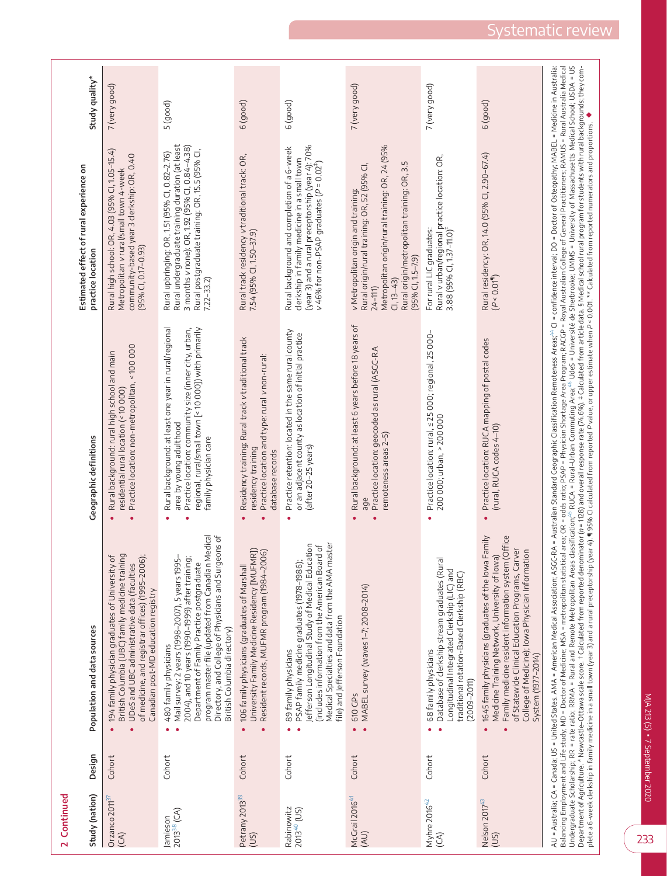| 2 Continued                           |        |                                                                                                                                                                                                                                                                                                                                                                                                                                                                                                                                                                                                                                                                                                                                                                                                                                                                                                                                                                                                                                                                                                                                                                      |                                                                                                                                                                                                                                          | Estimated effect of rural experience on                                                                                                                                                                                                     |                |
|---------------------------------------|--------|----------------------------------------------------------------------------------------------------------------------------------------------------------------------------------------------------------------------------------------------------------------------------------------------------------------------------------------------------------------------------------------------------------------------------------------------------------------------------------------------------------------------------------------------------------------------------------------------------------------------------------------------------------------------------------------------------------------------------------------------------------------------------------------------------------------------------------------------------------------------------------------------------------------------------------------------------------------------------------------------------------------------------------------------------------------------------------------------------------------------------------------------------------------------|------------------------------------------------------------------------------------------------------------------------------------------------------------------------------------------------------------------------------------------|---------------------------------------------------------------------------------------------------------------------------------------------------------------------------------------------------------------------------------------------|----------------|
| Study (nation)                        | Design | Population and data sources                                                                                                                                                                                                                                                                                                                                                                                                                                                                                                                                                                                                                                                                                                                                                                                                                                                                                                                                                                                                                                                                                                                                          | Geographic definitions                                                                                                                                                                                                                   | practice location                                                                                                                                                                                                                           | study quality* |
| Orzanco 2011 <sup>37</sup><br>(CA)    | Cohort | British Columbia (UBC) family medicine training<br>194 family physician graduates of University of<br>of medicine, and registrar offices) (1995-2006);<br>UDeS and UBC administrative data (faculties<br>Canadian post-MD education registry<br>$\bullet$                                                                                                                                                                                                                                                                                                                                                                                                                                                                                                                                                                                                                                                                                                                                                                                                                                                                                                            | Practice location: non-metropolitan, < 100 000<br>Rural background: rural high school and main<br>residential rural location (< 10 000)<br>$\bullet$                                                                                     | Rural high school: OR, 4.03 (95% Cl, 1.05-15.4)<br>community-based year 3 clerkship: OR, 0.40<br>Metropolitan vrural/small town 4-week<br>$(95%$ CI, 0.17-0.93)                                                                             | 7 (very good)  |
| 2013 <sup>38</sup> (CA)<br>Jamieson   | Cohort | Directory, and College of Physicians and Surgeons of<br>program master file (updated from Canadian Medical<br>Mail survey: 2 years (1998-2007), 5 years 1995-<br>2004), and 10 years (1990-1999) after training;<br>Department of Family Practice postgraduate<br>British Columbia directory)<br>480 family physicians                                                                                                                                                                                                                                                                                                                                                                                                                                                                                                                                                                                                                                                                                                                                                                                                                                               | Rural background: at least one year in rural/regional<br>Practice location: community size (inner city, urban,<br>regional, rural/small town [< 10 000]) with primarily<br>area by young adulthood<br>family physician care<br>$\bullet$ | Rural undergraduate training duration (at least<br>3 months v none): OR, 1.92 (95% Cl, 0.84-4.38)<br>Rural postgraduate training: OR, 15.5 (95% CI,<br>Rural upbringing: OR, 1.51 (95% Cl, 0.82-2.76)<br>$7.22 - 33.2$                      | 5(good)        |
| Petrany 2013 <sup>39</sup><br>(US)    | Cohort | University Family Medicine Residency [MUFMR])<br>Resident records, MUFMR program (1984-2006)<br>106 family physicians (graduates of Marshall<br>$\bullet$<br>۰                                                                                                                                                                                                                                                                                                                                                                                                                                                                                                                                                                                                                                                                                                                                                                                                                                                                                                                                                                                                       | Residency training: Rural track v traditional track<br>Practice location and type: rural vnon-rural:<br>residency training<br>database records<br>$\bullet$                                                                              | Rural track residency v traditional track: OR,<br>7.54 (95% CI, 1.50-37.9)                                                                                                                                                                  | $6$ (good)     |
| Rabinowitz<br>2013 <sup>40</sup> (US) | Cohort | master<br>Jefferson Longitudinal Study of Medical Education<br>(includes information from the American Board of<br>PSAP family medicine graduates (1978-1986);<br>Medical Specialties and data from the AMA<br>file) and Jefferson Foundation<br>89 family physicians<br>$\bullet$                                                                                                                                                                                                                                                                                                                                                                                                                                                                                                                                                                                                                                                                                                                                                                                                                                                                                   | Practice retention: located in the same rural county<br>or an adjacent county as location of initial practice<br>(after 20-25 years)<br>$\bullet$                                                                                        | (year 3) and a rural preceptorship (year 4): 70%<br>Rural background and completion of a 6-week<br>clerkship in family medicine in a small town<br>v 46% for non-PSAP graduates $(P = 0.02^+)$                                              | $6$ (good)     |
| McGrail 2016 <sup>41</sup><br>(AU)    | Cohort | MABEL survey (waves 1-7; 2008-2014)<br>610 GPs<br>$\bullet$<br>$\bullet$                                                                                                                                                                                                                                                                                                                                                                                                                                                                                                                                                                                                                                                                                                                                                                                                                                                                                                                                                                                                                                                                                             | Rural background: at least 6 years before 18 years of<br>Practice location: geocoded as rural (ASGC-RA<br>remoteness areas 2-5)<br>age                                                                                                   | Metropolitan origin/rural training: OR, 24 (95%<br>Rural origin/metropolitan training: OR, 3.5<br>Rural origin/rural training: OR, 52 (95% CI,<br>v Metropolitan origin and training:<br>$(95% CI, 1.5 - 7.9)$<br>$Cl, 13-43$<br>$24 - 111$ | 7 (very good)  |
| Myhre 2016 <sup>42</sup><br>(CA)      | Cohort | Database of clerkship stream graduates (Rural<br>Longitudinal Integrated Clerkship (LIC) and<br>traditional rotation-Based Clerkship (RBC)<br>68 family physicians<br>$(2009 - 2011)$                                                                                                                                                                                                                                                                                                                                                                                                                                                                                                                                                                                                                                                                                                                                                                                                                                                                                                                                                                                | Practice location: rural, < 25 000; regional, 25 000-<br>200 000; urban, > 200 000                                                                                                                                                       | Rural v urban/regional practice location: OR,<br>3.88 (95% Cl, 1.37–11.0) <sup>†</sup><br>For rural LIC graduates:                                                                                                                          | 7 (very good)  |
| Nelson 2017 <sup>43</sup><br>(US)     | Cohort | 1645 family physicians (graduates of the lowa Family<br>Family medicine resident information system (Office<br>of Statewide Clinical Education Programs, Carver<br>College of Medicine); lowa Physician Information<br>Medicine Training Network, University of lowa)<br>System (1977-2014)<br>$\bullet$                                                                                                                                                                                                                                                                                                                                                                                                                                                                                                                                                                                                                                                                                                                                                                                                                                                             | Practice location: RUCA mapping of postal codes<br>(rural, RUCA codes 4-10)                                                                                                                                                              | Rural residency: OR, 14.0 (95% Cl, 2.90-67.4)<br>(P < 0.01 <sup>4</sup> )                                                                                                                                                                   | $6$ (good)     |
|                                       |        | Balancing Employment and Life study, MD = Doctor of Medicine; MSA = metropolitan statistical area; OR = odds ratio; PSAP = Physician Shortage Area Program; RACCD = Royal Australian College of General Practitioners; RAMUS =<br>Undergräduate Scholarship; RR = rate ratio; RRMA = Rural and Remote Metropolitan Areas classification;"6 RUCA = Rural–Urban Commuting Area;"6 UdeS = Université de Sherbrooke; UMMS = University of Massachusetts Medical Scho<br>AU = Australia; CA = Canada; US = United States. AMA = American Medical Association; ASGC-RA = Australian Standard Geographic Classification Remoteness Areas;" CI = confidence interval; DO = Doctor of Osteopathy; MABEL = M<br>Department of Agriculture.* Newcastle-Ottawa scale score. † Calculated from reported deminator (n = 1128) and overall response rate (74.6%). ‡ Calculated from article data. § Medical school rural program for students with<br>plete a 6-week derkship in family medicine in a small town (year 3) and a rural preceptorship (year 4). ¶ 95% Cl calculated from reported P value, or upper estimate when P < 0.001. ** Calculated from reported numerators a |                                                                                                                                                                                                                                          |                                                                                                                                                                                                                                             |                |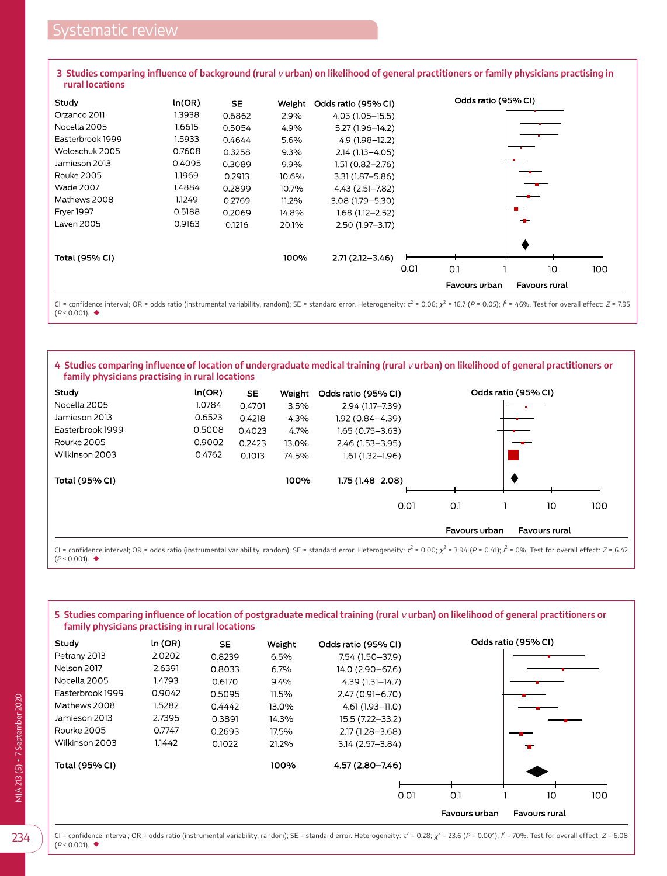<span id="page-6-0"></span>**3** Studies comparing influence of background (rural *v* urban) on likelihood of general practitioners or family physicians practising in **rural locations**

| Study             | ln(OR) | <b>SE</b> | Weight | Odds ratio (95% CI) | Odds ratio (95% CI)            |
|-------------------|--------|-----------|--------|---------------------|--------------------------------|
| Orzanco 2011      | 1.3938 | 0.6862    | 2.9%   | 4.03 (1.05-15.5)    |                                |
| Nocella 2005      | 1.6615 | 0.5054    | 4.9%   | 5.27 (1.96-14.2)    |                                |
| Easterbrook 1999  | 1.5933 | 0.4644    | 5.6%   | 4.9 (1.98-12.2)     |                                |
| Woloschuk 2005    | 0.7608 | 0.3258    | 9.3%   | $2.14(1.13 - 4.05)$ |                                |
| Jamieson 2013     | 0.4095 | 0.3089    | 9.9%   | 1.51 (0.82-2.76)    |                                |
| <b>Rouke 2005</b> | 1.1969 | 0.2913    | 10.6%  | $3.31(1.87 - 5.86)$ |                                |
| <b>Wade 2007</b>  | 1.4884 | 0.2899    | 10.7%  | 4.43 (2.51-7.82)    |                                |
| Mathews 2008      | 1.1249 | 0.2769    | 11.2%  | 3.08 (1.79 - 5.30)  |                                |
| <b>Frver 1997</b> | 0.5188 | 0.2069    | 14.8%  | $1.68(1.12 - 2.52)$ |                                |
| Laven 2005        | 0.9163 | 0.1216    | 20.1%  | 2.50 (1.97-3.17)    |                                |
| Total (95% CI)    |        |           | 100%   | $2.71(2.12 - 3.46)$ |                                |
|                   |        |           |        |                     | 0.01<br>0.1<br>10<br>100       |
|                   |        |           |        |                     | Favours urban<br>Favours rural |

CI = confidence interval; OR = odds ratio (instrumental variability, random); SE = standard error. Heterogeneity: τ<sup>2</sup> = 0.06;  $\chi^2$  = 16.7 (P = 0.05);  $\hat{F}$  = 46%. Test for overall effect: Z = 7.95 (P < 0.001). ◆

#### <span id="page-6-1"></span>4 Studies comparing influence of location of undergraduate medical training (rural *v* urban) on likelihood of general practitioners or **family physicians practising in rural locations**

| Study            | ln(OR) | SE.    | Weight | Odds ratio (95% CI) |               | Odds ratio (95% CI) |
|------------------|--------|--------|--------|---------------------|---------------|---------------------|
| Nocella 2005     | 1.0784 | 0.4701 | 3.5%   | 2.94 (1.17-7.39)    |               |                     |
| Jamieson 2013    | 0.6523 | 0.4218 | 4.3%   | $1.92(0.84 - 4.39)$ |               |                     |
| Easterbrook 1999 | 0.5008 | 0.4023 | 4.7%   | $1.65(0.75 - 3.63)$ |               |                     |
| Rourke 2005      | 0.9002 | 0.2423 | 13.0%  | 2.46 (1.53-3.95)    |               |                     |
| Wilkinson 2003   | 0.4762 | 0.1013 | 74.5%  | $1.61(1.32 - 1.96)$ |               |                     |
| Total (95% CI)   |        |        | 100%   | $1.75(1.48 - 2.08)$ |               |                     |
|                  |        |        |        | 0.01                | O.1           | 10<br>100           |
|                  |        |        |        |                     | Favours urban | Favours rural       |

CI = confidence interval; OR = odds ratio (instrumental variability, random); SE = standard error. Heterogeneity:  $\tau^2$  = 0.00;  $\chi^2$  = 3.94 (P = 0.41);  $\ell$  = 0%. Test for overall effect: Z = 6.42 (P < 0.001). ◆

#### <span id="page-6-2"></span>**5** Studies comparing influence of location of postgraduate medical training (rural *v* urban) on likelihood of general practitioners or **family physicians practising in rural locations**

| Study            | ln (OR) | <b>SE</b> | Weight  | Odds ratio (95% CI) | Odds ratio (95% CI)            |
|------------------|---------|-----------|---------|---------------------|--------------------------------|
| Petrany 2013     | 2.0202  | 0.8239    | 6.5%    | 7.54 (1.50-37.9)    |                                |
| Nelson 2017      | 2.6391  | 0.8033    | $6.7\%$ | 14.0 (2.90 - 67.6)  |                                |
| Nocella 2005     | 1.4793  | 0.6170    | 9.4%    | 4.39 (1.31–14.7)    |                                |
| Easterbrook 1999 | 0.9042  | 0.5095    | 11.5%   | $2.47(0.91 - 6.70)$ |                                |
| Mathews 2008     | 1.5282  | 0.4442    | 13.0%   | 4.61 (1.93-11.0)    |                                |
| Jamieson 2013    | 2.7395  | 0.3891    | 14.3%   | 15.5 (7.22-33.2)    |                                |
| Rourke 2005      | 0.7747  | 0.2693    | 17.5%   | 2.17 (1.28 - 3.68)  |                                |
| Wilkinson 2003   | 1.1442  | 0.1022    | 21.2%   | $3.14(2.57 - 3.84)$ |                                |
| Total (95% CI)   |         |           | 100%    | 4.57 (2.80–7.46)    |                                |
|                  |         |           |         |                     |                                |
|                  |         |           |         | 0.01                | O.1<br>100<br>10               |
|                  |         |           |         |                     | Favours urban<br>Favours rural |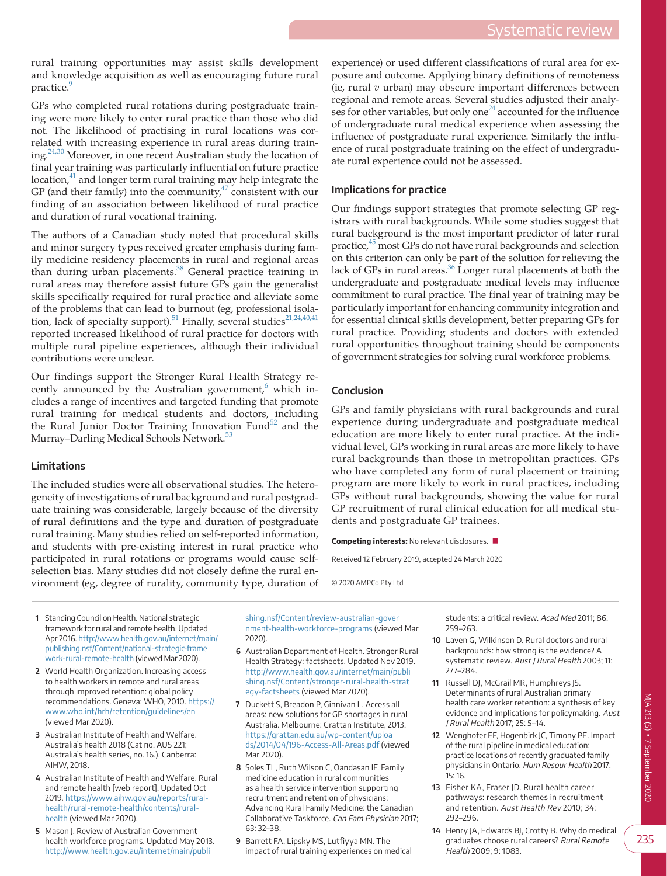rural training opportunities may assist skills development and knowledge acquisition as well as encouraging future rural practice.

GPs who completed rural rotations during postgraduate training were more likely to enter rural practice than those who did not. The likelihood of practising in rural locations was correlated with increasing experience in rural areas during training.[24,30](#page-8-15) Moreover, in one recent Australian study the location of final year training was particularly influential on future practice  $location<sub>1</sub><sup>41</sup>$  $location<sub>1</sub><sup>41</sup>$  $location<sub>1</sub><sup>41</sup>$  and longer term rural training may help integrate the GP (and their family) into the community, $47$  consistent with our finding of an association between likelihood of rural practice and duration of rural vocational training.

The authors of a Canadian study noted that procedural skills and minor surgery types received greater emphasis during family medicine residency placements in rural and regional areas than during urban placements.<sup>38</sup> General practice training in rural areas may therefore assist future GPs gain the generalist skills specifically required for rural practice and alleviate some of the problems that can lead to burnout (eg, professional isola-tion, lack of specialty support).<sup>51</sup> Finally, several studies<sup>[21,24,40,41](#page-8-18)</sup> reported increased likelihood of rural practice for doctors with multiple rural pipeline experiences, although their individual contributions were unclear.

Our findings support the Stronger Rural Health Strategy recently announced by the Australian government, $6$  which includes a range of incentives and targeted funding that promote rural training for medical students and doctors, including the Rural Junior Doctor Training Innovation Fund<sup>52</sup> and the Murray–Darling Medical Schools Network.<sup>[53](#page-8-38)</sup>

#### **Limitations**

The included studies were all observational studies. The heterogeneity of investigations of rural background and rural postgraduate training was considerable, largely because of the diversity of rural definitions and the type and duration of postgraduate rural training. Many studies relied on self-reported information, and students with pre-existing interest in rural practice who participated in rural rotations or programs would cause selfselection bias. Many studies did not closely define the rural environment (eg, degree of rurality, community type, duration of experience) or used different classifications of rural area for exposure and outcome. Applying binary definitions of remoteness (ie, rural *v* urban) may obscure important differences between regional and remote areas. Several studies adjusted their analyses for other variables, but only one<sup>24</sup> accounted for the influence of undergraduate rural medical experience when assessing the influence of postgraduate rural experience. Similarly the influence of rural postgraduate training on the effect of undergraduate rural experience could not be assessed.

# **Implications for practice**

Our findings support strategies that promote selecting GP registrars with rural backgrounds. While some studies suggest that rural background is the most important predictor of later rural practice,<sup>45</sup> most GPs do not have rural backgrounds and selection on this criterion can only be part of the solution for relieving the lack of GPs in rural areas. $36$  Longer rural placements at both the undergraduate and postgraduate medical levels may influence commitment to rural practice. The final year of training may be particularly important for enhancing community integration and for essential clinical skills development, better preparing GPs for rural practice. Providing students and doctors with extended rural opportunities throughout training should be components of government strategies for solving rural workforce problems.

# **Conclusion**

GPs and family physicians with rural backgrounds and rural experience during undergraduate and postgraduate medical education are more likely to enter rural practice. At the individual level, GPs working in rural areas are more likely to have rural backgrounds than those in metropolitan practices. GPs who have completed any form of rural placement or training program are more likely to work in rural practices, including GPs without rural backgrounds, showing the value for rural GP recruitment of rural clinical education for all medical students and postgraduate GP trainees.

**Competing interests:** No relevant disclosures. ■

Received 12 February 2019, accepted 24 March 2020

© 2020 AMPCo Pty Ltd

- <span id="page-7-0"></span> **1** Standing Council on Health. National strategic framework for rural and remote health. Updated Apr 2016. [http://www.health.gov.au/internet/main/](http://www.health.gov.au/internet/main/publishing.nsf/Content/national-strategic-framework-rural-remote-health) [publishing.nsf/Content/national-strategic-frame](http://www.health.gov.au/internet/main/publishing.nsf/Content/national-strategic-framework-rural-remote-health) [work-rural-remote-health](http://www.health.gov.au/internet/main/publishing.nsf/Content/national-strategic-framework-rural-remote-health) (viewed Mar 2020).
- <span id="page-7-1"></span> **2** World Health Organization. Increasing access to health workers in remote and rural areas through improved retention: global policy recommendations. Geneva: WHO, 2010. [https://](https://www.who.int/hrh/retention/guidelines/en) [www.who.int/hrh/retention/guidelines/en](https://www.who.int/hrh/retention/guidelines/en) (viewed Mar 2020).
- <span id="page-7-2"></span> **3** Australian Institute of Health and Welfare. Australia's health 2018 (Cat no. AUS 221; Australia's health series, no. 16.). Canberra: AIHW, 2018.
- <span id="page-7-3"></span> **4** Australian Institute of Health and Welfare. Rural and remote health [web report]. Updated Oct 2019. [https://www.aihw.gov.au/reports/rural](https://www.aihw.gov.au/reports/rural-health/rural-remote-health/contents/rural-health)[health/rural-remote-health/contents/rural](https://www.aihw.gov.au/reports/rural-health/rural-remote-health/contents/rural-health)[health](https://www.aihw.gov.au/reports/rural-health/rural-remote-health/contents/rural-health) (viewed Mar 2020).
- <span id="page-7-4"></span> **5** Mason J. Review of Australian Government health workforce programs. Updated May 2013. [http://www.health.gov.au/internet/main/publi](http://www.health.gov.au/internet/main/publishing.nsf/Content/review-australian-government-health-workforce-programs)

[shing.nsf/Content/review-australian-gover](http://www.health.gov.au/internet/main/publishing.nsf/Content/review-australian-government-health-workforce-programs) [nment-health-workforce-programs](http://www.health.gov.au/internet/main/publishing.nsf/Content/review-australian-government-health-workforce-programs) (viewed Mar 2020).

- <span id="page-7-5"></span> **6** Australian Department of Health. Stronger Rural Health Strategy: factsheets. Updated Nov 2019. [http://www.health.gov.au/internet/main/publi](http://www.health.gov.au/internet/main/publishing.nsf/Content/stronger-rural-health-strategy-factsheets) [shing.nsf/Content/stronger-rural-health-strat](http://www.health.gov.au/internet/main/publishing.nsf/Content/stronger-rural-health-strategy-factsheets) [egy-factsheets](http://www.health.gov.au/internet/main/publishing.nsf/Content/stronger-rural-health-strategy-factsheets) (viewed Mar 2020).
- <span id="page-7-6"></span> **7** Duckett S, Breadon P, Ginnivan L. Access all areas: new solutions for GP shortages in rural Australia. Melbourne: Grattan Institute, 2013. [https://grattan.edu.au/wp-content/uploa](https://grattan.edu.au/wp-content/uploads/2014/04/196-Access-All-Areas.pdf) [ds/2014/04/196-Access-All-Areas.pdf](https://grattan.edu.au/wp-content/uploads/2014/04/196-Access-All-Areas.pdf) (viewed Mar 2020).
- <span id="page-7-9"></span> **8** Soles TL, Ruth Wilson C, Oandasan IF. Family medicine education in rural communities as a health service intervention supporting recruitment and retention of physicians: Advancing Rural Family Medicine: the Canadian Collaborative Taskforce. Can Fam Physician 2017; 63: 32–38.
- <span id="page-7-7"></span> **9** Barrett FA, Lipsky MS, Lutfiyya MN. The impact of rural training experiences on medical

students: a critical review. Acad Med 2011; 86: 259–263.

- **10** Laven G, Wilkinson D. Rural doctors and rural backgrounds: how strong is the evidence? A systematic review. Aust J Rural Health 2003; 11: 277–284.
- **11** Russell DJ, McGrail MR, Humphreys JS. Determinants of rural Australian primary health care worker retention: a synthesis of key evidence and implications for policymaking. Aust J Rural Health 2017; 25: 5–14.
- <span id="page-7-8"></span>**12** Wenghofer EF, Hogenbirk JC, Timony PE. Impact of the rural pipeline in medical education: practice locations of recently graduated family physicians in Ontario. Hum Resour Health 2017; 15: 16.
- **13** Fisher KA, Fraser JD. Rural health career pathways: research themes in recruitment and retention. Aust Health Rev 2010; 34: 292–296.
- **14** Henry JA, Edwards BJ, Crotty B. Why do medical graduates choose rural careers? Rural Remote Health 2009; 9: 1083.